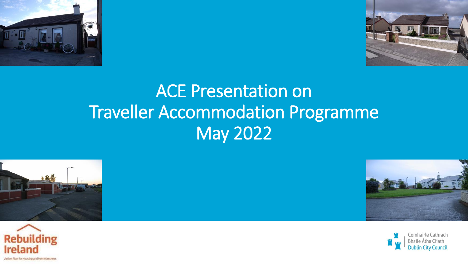



## ACE Presentation on Traveller Accommodation Programme May 2022







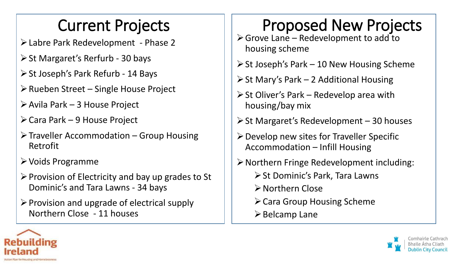#### Current Projects

- Labre Park Redevelopment Phase 2
- $\triangleright$  St Margaret's Rerfurb 30 bays
- $\triangleright$  St Joseph's Park Refurb 14 Bays
- $\triangleright$  Rueben Street Single House Project
- $\triangleright$  Avila Park 3 House Project
- Cara Park 9 House Project
- $\triangleright$  Traveller Accommodation Group Housing Retrofit
- Voids Programme
- $\triangleright$  Provision of Electricity and bay up grades to St Dominic's and Tara Lawns - 34 bays
- $\triangleright$  Provision and upgrade of electrical supply Northern Close - 11 houses

## Proposed New Projects

- $\triangleright$  Grove Lane Redevelopment to add to housing scheme
- $\triangleright$  St Joseph's Park 10 New Housing Scheme
- $\triangleright$  St Mary's Park 2 Additional Housing
- $\triangleright$  St Oliver's Park Redevelop area with housing/bay mix
- $\triangleright$  St Margaret's Redevelopment 30 houses
- $\triangleright$  Develop new sites for Traveller Specific Accommodation – Infill Housing
- $\triangleright$  Northern Fringe Redevelopment including: **≻ St Dominic's Park, Tara Lawns** 
	- Northern Close
	- $\triangleright$  Cara Group Housing Scheme
	- $\triangleright$  Belcamp Lane